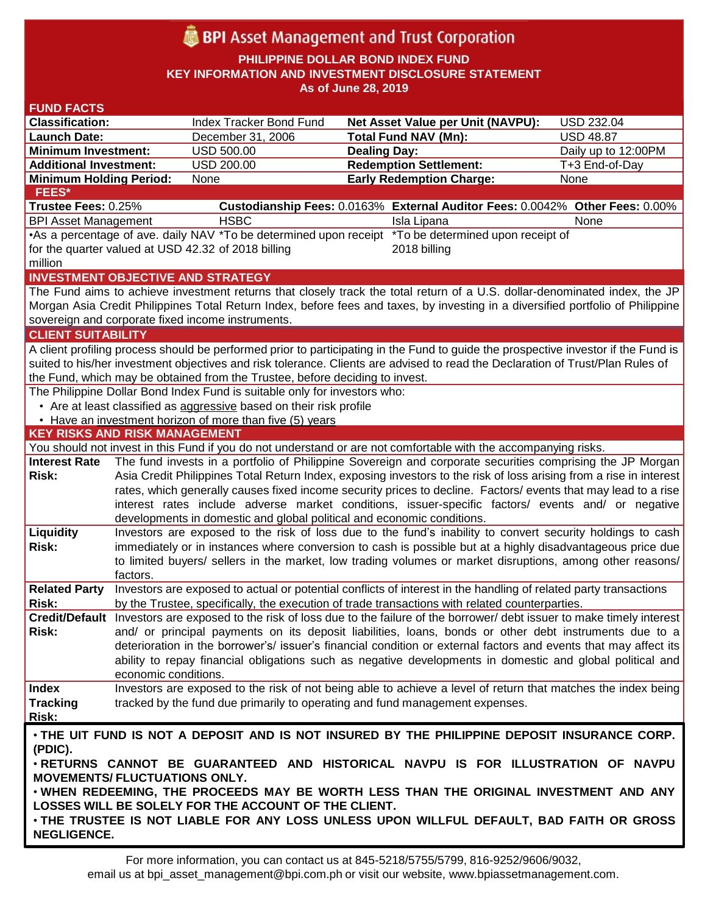# **BPI** Asset Management and Trust Corporation

**PHILIPPINE DOLLAR BOND INDEX FUND KEY INFORMATION AND INVESTMENT DISCLOSURE STATEMENT As of June 28, 2019**

#### **FUND FACTS Classification:** Index Tracker Bond Fund **Net Asset Value per Unit (NAVPU):** USD 232.04 **Launch Date:** December 31, 2006 **Total Fund NAV (Mn):** USD 48.87 **Minimum Investment:** USD 500.00 **Dealing Day:** Dealing Day: Daily up to 12:00PM **Additional Investment:** USD 200.00 **Redemption Settlement:** T+3 End-of-Day **Minimum Holding Period:** None **Early Redemption Charge:** None **KEY RISKS AND RISK MANAGEMENT**  You should not invest in this Fund if you do not understand or are not comfortable with the accompanying risks. **Interest Rate Risk:** The fund invests in a portfolio of Philippine Sovereign and corporate securities comprising the JP Morgan Asia Credit Philippines Total Return Index, exposing investors to the risk of loss arising from a rise in interest rates, which generally causes fixed income security prices to decline. Factors/ events that may lead to a rise interest rates include adverse market conditions, issuer-specific factors/ events and/ or negative developments in domestic and global political and economic conditions. **Liquidity Risk:** Investors are exposed to the risk of loss due to the fund's inability to convert security holdings to cash immediately or in instances where conversion to cash is possible but at a highly disadvantageous price due to limited buyers/ sellers in the market, low trading volumes or market disruptions, among other reasons/ factors. **Related Party**  Investors are exposed to actual or potential conflicts of interest in the handling of related party transactions **Risk:** by the Trustee, specifically, the execution of trade transactions with related counterparties. **Credit/Default**  Investors are exposed to the risk of loss due to the failure of the borrower/ debt issuer to make timely interest **Risk:** and/ or principal payments on its deposit liabilities, loans, bonds or other debt instruments due to a deterioration in the borrower's/ issuer's financial condition or external factors and events that may affect its ability to repay financial obligations such as negative developments in domestic and global political and economic conditions. **Index Tracking Risk:** Investors are exposed to the risk of not being able to achieve a level of return that matches the index being tracked by the fund due primarily to operating and fund management expenses. **INVESTMENT OBJECTIVE AND STRATEGY** The Fund aims to achieve investment returns that closely track the total return of a U.S. dollar-denominated index, the JP Morgan Asia Credit Philippines Total Return Index, before fees and taxes, by investing in a diversified portfolio of Philippine sovereign and corporate fixed income instruments. **CLIENT SUITABILITY** A client profiling process should be performed prior to participating in the Fund to guide the prospective investor if the Fund is suited to his/her investment objectives and risk tolerance. Clients are advised to read the Declaration of Trust/Plan Rules of the Fund, which may be obtained from the Trustee, before deciding to invest. The Philippine Dollar Bond Index Fund is suitable only for investors who: • Are at least classified as aggressive based on their risk profile • Have an investment horizon of more than five (5) years • **THE UIT FUND IS NOT A DEPOSIT AND IS NOT INSURED BY THE PHILIPPINE DEPOSIT INSURANCE CORP. (PDIC).** • **RETURNS CANNOT BE GUARANTEED AND HISTORICAL NAVPU IS FOR ILLUSTRATION OF NAVPU MOVEMENTS/ FLUCTUATIONS ONLY.** • **WHEN REDEEMING, THE PROCEEDS MAY BE WORTH LESS THAN THE ORIGINAL INVESTMENT AND ANY LOSSES WILL BE SOLELY FOR THE ACCOUNT OF THE CLIENT.** • **THE TRUSTEE IS NOT LIABLE FOR ANY LOSS UNLESS UPON WILLFUL DEFAULT, BAD FAITH OR GROSS NEGLIGENCE. FEES\* Trustee Fees:** 0.25% **Custodianship Fees:** 0.0163% **External Auditor Fees:** 0.0042% **Other Fees:** 0.00% BPI Asset Management **HSBC Isla Lipana** Isla Lipana None •As a percentage of ave. daily NAV \*To be determined upon receipt \*To be determined upon receipt of for the quarter valued at USD 42.32 of 2018 billing million 2018 billing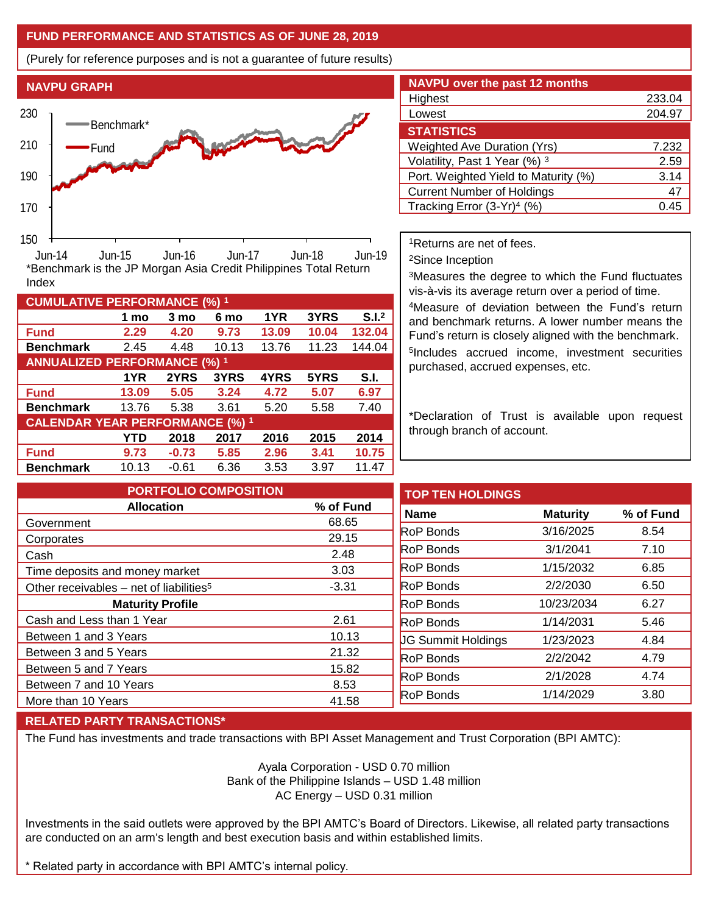## **FUND PERFORMANCE AND STATISTICS AS OF JUNE 28, 2019**

(Purely for reference purposes and is not a guarantee of future results)



**Fund 2.29 4.20 9.73 13.09 10.04 132.04 Benchmark** 2.45 4.48 10.13 13.76 11.23 144.04

\*Benchmark is the JP Morgan Asia Credit Philippines Total Return

**Fund 13.09 5.05 3.24 4.72 5.07 6.97 Benchmark** 13.76 5.38 3.61 5.20 5.58 7.40

**Fund 9.73 -0.73 5.85 2.96 3.41 10.75 Benchmark** 10.13 -0.61 6.36 3.53 3.97 11.47

**1 mo 3 mo 6 mo 1YR 3YRS S.I.<sup>2</sup>**

**1YR 2YRS 3YRS 4YRS 5YRS S.I.**

**YTD 2018 2017 2016 2015 2014**

| <b>NAVPU over the past 12 months</b>   |        |
|----------------------------------------|--------|
| Highest                                | 233.04 |
| Lowest                                 | 204.97 |
| <b>STATISTICS</b>                      |        |
| <b>Weighted Ave Duration (Yrs)</b>     | 7.232  |
| Volatility, Past 1 Year (%) 3          | 2.59   |
| Port. Weighted Yield to Maturity (%)   | 3.14   |
| <b>Current Number of Holdings</b>      | 47     |
| Tracking Error (3-Yr) <sup>4</sup> (%) | በ 4!   |

<sup>1</sup>Returns are net of fees.

<sup>2</sup>Since Inception

<sup>3</sup>Measures the degree to which the Fund fluctuates vis-à-vis its average return over a period of time.

<sup>4</sup>Measure of deviation between the Fund's return and benchmark returns. A lower number means the Fund's return is closely aligned with the benchmark. 5 Includes accrued income, investment securities purchased, accrued expenses, etc.

\*Declaration of Trust is available upon request through branch of account.

| <b>PORTFOLIO COMPOSITION</b>                        |           | <b>TOP TEN HOLDINGS</b>   |                 |           |
|-----------------------------------------------------|-----------|---------------------------|-----------------|-----------|
| <b>Allocation</b>                                   | % of Fund | <b>Name</b>               | <b>Maturity</b> | % of Fund |
| Government                                          | 68.65     |                           |                 |           |
| Corporates                                          | 29.15     | <b>RoP Bonds</b>          | 3/16/2025       | 8.54      |
| Cash                                                | 2.48      | <b>RoP Bonds</b>          | 3/1/2041        | 7.10      |
| Time deposits and money market                      | 3.03      | <b>RoP Bonds</b>          | 1/15/2032       | 6.85      |
| Other receivables - net of liabilities <sup>5</sup> | $-3.31$   | <b>RoP Bonds</b>          | 2/2/2030        | 6.50      |
| <b>Maturity Profile</b>                             |           | <b>RoP Bonds</b>          | 10/23/2034      | 6.27      |
| Cash and Less than 1 Year                           | 2.61      | <b>RoP Bonds</b>          | 1/14/2031       | 5.46      |
| Between 1 and 3 Years                               | 10.13     | <b>JG Summit Holdings</b> | 1/23/2023       | 4.84      |
| Between 3 and 5 Years                               | 21.32     | <b>RoP Bonds</b>          | 2/2/2042        | 4.79      |
| Between 5 and 7 Years                               | 15.82     |                           |                 |           |
| Between 7 and 10 Years                              | 8.53      | <b>RoP Bonds</b>          | 2/1/2028        | 4.74      |
| More than 10 Years                                  | 41.58     | <b>RoP Bonds</b>          | 1/14/2029       | 3.80      |
|                                                     |           |                           |                 |           |

### **RELATED PARTY TRANSACTIONS\***

**CUMULATIVE PERFORMANCE (%) <sup>1</sup>**

Index

**ANNUALIZED PERFORMANCE (%) <sup>1</sup>**

**CALENDAR YEAR PERFORMANCE (%) <sup>1</sup>**

The Fund has investments and trade transactions with BPI Asset Management and Trust Corporation (BPI AMTC):

Ayala Corporation - USD 0.70 million Bank of the Philippine Islands – USD 1.48 million AC Energy – USD 0.31 million

Investments in the said outlets were approved by the BPI AMTC's Board of Directors. Likewise, all related party transactions are conducted on an arm's length and best execution basis and within established limits.

\* Related party in accordance with BPI AMTC's internal policy.